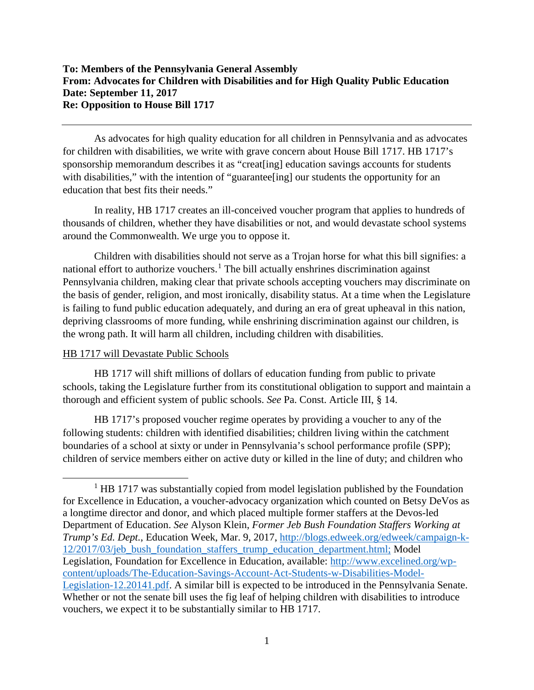As advocates for high quality education for all children in Pennsylvania and as advocates for children with disabilities, we write with grave concern about House Bill 1717. HB 1717's sponsorship memorandum describes it as "creat[ing] education savings accounts for students with disabilities," with the intention of "guarantee [ing] our students the opportunity for an education that best fits their needs."

In reality, HB 1717 creates an ill-conceived voucher program that applies to hundreds of thousands of children, whether they have disabilities or not, and would devastate school systems around the Commonwealth. We urge you to oppose it.

Children with disabilities should not serve as a Trojan horse for what this bill signifies: a national effort to authorize vouchers.<sup>[1](#page-0-0)</sup> The bill actually enshrines discrimination against Pennsylvania children, making clear that private schools accepting vouchers may discriminate on the basis of gender, religion, and most ironically, disability status. At a time when the Legislature is failing to fund public education adequately, and during an era of great upheaval in this nation, depriving classrooms of more funding, while enshrining discrimination against our children, is the wrong path. It will harm all children, including children with disabilities.

## HB 1717 will Devastate Public Schools

 $\overline{a}$ 

HB 1717 will shift millions of dollars of education funding from public to private schools, taking the Legislature further from its constitutional obligation to support and maintain a thorough and efficient system of public schools. *See* Pa. Const. Article III, § 14.

HB 1717's proposed voucher regime operates by providing a voucher to any of the following students: children with identified disabilities; children living within the catchment boundaries of a school at sixty or under in Pennsylvania's school performance profile (SPP); children of service members either on active duty or killed in the line of duty; and children who

<span id="page-0-0"></span><sup>&</sup>lt;sup>1</sup> HB 1717 was substantially copied from model legislation published by the Foundation for Excellence in Education, a voucher-advocacy organization which counted on Betsy DeVos as a longtime director and donor, and which placed multiple former staffers at the Devos-led Department of Education. *See* Alyson Klein, *Former Jeb Bush Foundation Staffers Working at Trump's Ed. Dept.*, Education Week, Mar. 9, 2017, [http://blogs.edweek.org/edweek/campaign-k-](http://blogs.edweek.org/edweek/campaign-k-12/2017/03/jeb_bush_foundation_staffers_trump_education_department.html)[12/2017/03/jeb\\_bush\\_foundation\\_staffers\\_trump\\_education\\_department.html;](http://blogs.edweek.org/edweek/campaign-k-12/2017/03/jeb_bush_foundation_staffers_trump_education_department.html) Model Legislation, Foundation for Excellence in Education, available: [http://www.excelined.org/wp](http://www.excelined.org/wp-content/uploads/The-Education-Savings-Account-Act-Students-w-Disabilities-Model-Legislation-12.20141.pdf)[content/uploads/The-Education-Savings-Account-Act-Students-w-Disabilities-Model-](http://www.excelined.org/wp-content/uploads/The-Education-Savings-Account-Act-Students-w-Disabilities-Model-Legislation-12.20141.pdf)[Legislation-12.20141.pdf.](http://www.excelined.org/wp-content/uploads/The-Education-Savings-Account-Act-Students-w-Disabilities-Model-Legislation-12.20141.pdf) A similar bill is expected to be introduced in the Pennsylvania Senate. Whether or not the senate bill uses the fig leaf of helping children with disabilities to introduce vouchers, we expect it to be substantially similar to HB 1717.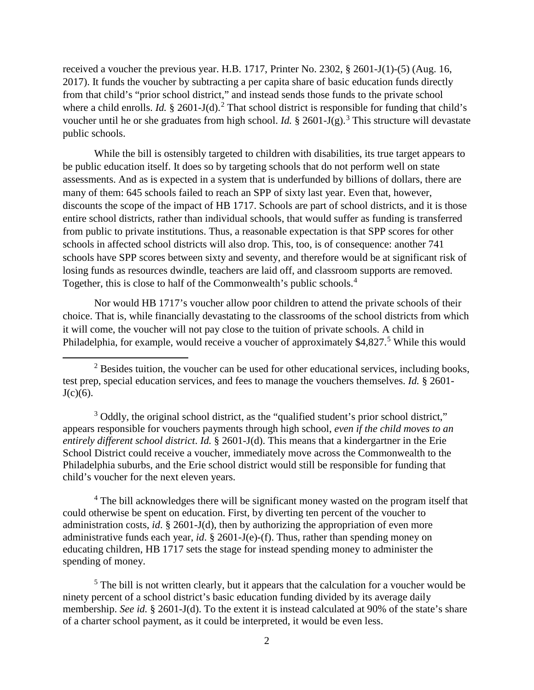received a voucher the previous year. H.B. 1717, Printer No. 2302, § 2601-J(1)-(5) (Aug. 16, 2017). It funds the voucher by subtracting a per capita share of basic education funds directly from that child's "prior school district," and instead sends those funds to the private school where a child enrolls. *Id.*  $\S$  [2](#page-1-0)601-J(d).<sup>2</sup> That school district is responsible for funding that child's voucher until he or she graduates from high school. *Id.* § 2601-J(g). [3](#page-1-1) This structure will devastate public schools.

While the bill is ostensibly targeted to children with disabilities, its true target appears to be public education itself. It does so by targeting schools that do not perform well on state assessments. And as is expected in a system that is underfunded by billions of dollars, there are many of them: 645 schools failed to reach an SPP of sixty last year. Even that, however, discounts the scope of the impact of HB 1717. Schools are part of school districts, and it is those entire school districts, rather than individual schools, that would suffer as funding is transferred from public to private institutions. Thus, a reasonable expectation is that SPP scores for other schools in affected school districts will also drop. This, too, is of consequence: another 741 schools have SPP scores between sixty and seventy, and therefore would be at significant risk of losing funds as resources dwindle, teachers are laid off, and classroom supports are removed. Together, this is close to half of the Commonwealth's public schools.[4](#page-1-2)

Nor would HB 1717's voucher allow poor children to attend the private schools of their choice. That is, while financially devastating to the classrooms of the school districts from which it will come, the voucher will not pay close to the tuition of private schools. A child in Philadelphia, for example, would receive a voucher of approximately \$4,827.<sup>[5](#page-1-3)</sup> While this would

 $\overline{a}$ 

<span id="page-1-1"></span><sup>3</sup> Oddly, the original school district, as the "qualified student's prior school district," appears responsible for vouchers payments through high school, *even if the child moves to an entirely different school district*. *Id.* § 2601-J(d). This means that a kindergartner in the Erie School District could receive a voucher, immediately move across the Commonwealth to the Philadelphia suburbs, and the Erie school district would still be responsible for funding that child's voucher for the next eleven years.

<span id="page-1-2"></span><sup>4</sup> The bill acknowledges there will be significant money wasted on the program itself that could otherwise be spent on education. First, by diverting ten percent of the voucher to administration costs, *id*. § 2601-J(d), then by authorizing the appropriation of even more administrative funds each year, *id*. § 2601-J(e)-(f). Thus, rather than spending money on educating children, HB 1717 sets the stage for instead spending money to administer the spending of money.

<span id="page-1-3"></span> $<sup>5</sup>$  The bill is not written clearly, but it appears that the calculation for a voucher would be</sup> ninety percent of a school district's basic education funding divided by its average daily membership. *See id.* § 2601-J(d). To the extent it is instead calculated at 90% of the state's share of a charter school payment, as it could be interpreted, it would be even less.

<span id="page-1-0"></span> $2$  Besides tuition, the voucher can be used for other educational services, including books, test prep, special education services, and fees to manage the vouchers themselves. *Id.* § 2601-  $J(c)(6)$ .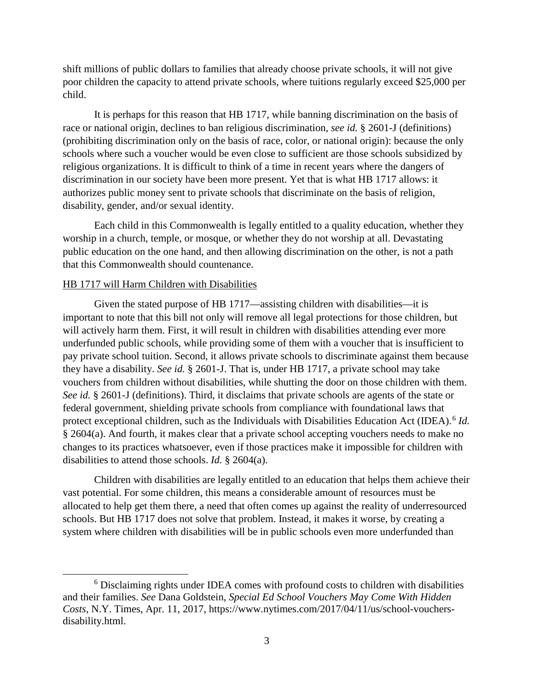shift millions of public dollars to families that already choose private schools, it will not give poor children the capacity to attend private schools, where tuitions regularly exceed \$25,000 per child.

It is perhaps for this reason that HB 1717, while banning discrimination on the basis of race or national origin, declines to ban religious discrimination, *see id.* § 2601-J (definitions) (prohibiting discrimination only on the basis of race, color, or national origin): because the only schools where such a voucher would be even close to sufficient are those schools subsidized by religious organizations. It is difficult to think of a time in recent years where the dangers of discrimination in our society have been more present. Yet that is what HB 1717 allows: it authorizes public money sent to private schools that discriminate on the basis of religion, disability, gender, and/or sexual identity.

Each child in this Commonwealth is legally entitled to a quality education, whether they worship in a church, temple, or mosque, or whether they do not worship at all. Devastating public education on the one hand, and then allowing discrimination on the other, is not a path that this Commonwealth should countenance.

## HB 1717 will Harm Children with Disabilities

l

Given the stated purpose of HB 1717—assisting children with disabilities—it is important to note that this bill not only will remove all legal protections for those children, but will actively harm them. First, it will result in children with disabilities attending ever more underfunded public schools, while providing some of them with a voucher that is insufficient to pay private school tuition. Second, it allows private schools to discriminate against them because they have a disability. *See id.* § 2601-J. That is, under HB 1717, a private school may take vouchers from children without disabilities, while shutting the door on those children with them. *See id.* § 2601-J (definitions). Third, it disclaims that private schools are agents of the state or federal government, shielding private schools from compliance with foundational laws that protect exceptional children, such as the Individuals with Disabilities Education Act (IDEA).<sup>[6](#page-2-0)</sup> *Id.* § 2604(a). And fourth, it makes clear that a private school accepting vouchers needs to make no changes to its practices whatsoever, even if those practices make it impossible for children with disabilities to attend those schools. *Id.* § 2604(a).

Children with disabilities are legally entitled to an education that helps them achieve their vast potential. For some children, this means a considerable amount of resources must be allocated to help get them there, a need that often comes up against the reality of underresourced schools. But HB 1717 does not solve that problem. Instead, it makes it worse, by creating a system where children with disabilities will be in public schools even more underfunded than

<span id="page-2-0"></span><sup>6</sup> Disclaiming rights under IDEA comes with profound costs to children with disabilities and their families. *See* Dana Goldstein, *Special Ed School Vouchers May Come With Hidden Costs*, N.Y. Times, Apr. 11, 2017, https://www.nytimes.com/2017/04/11/us/school-vouchersdisability.html.